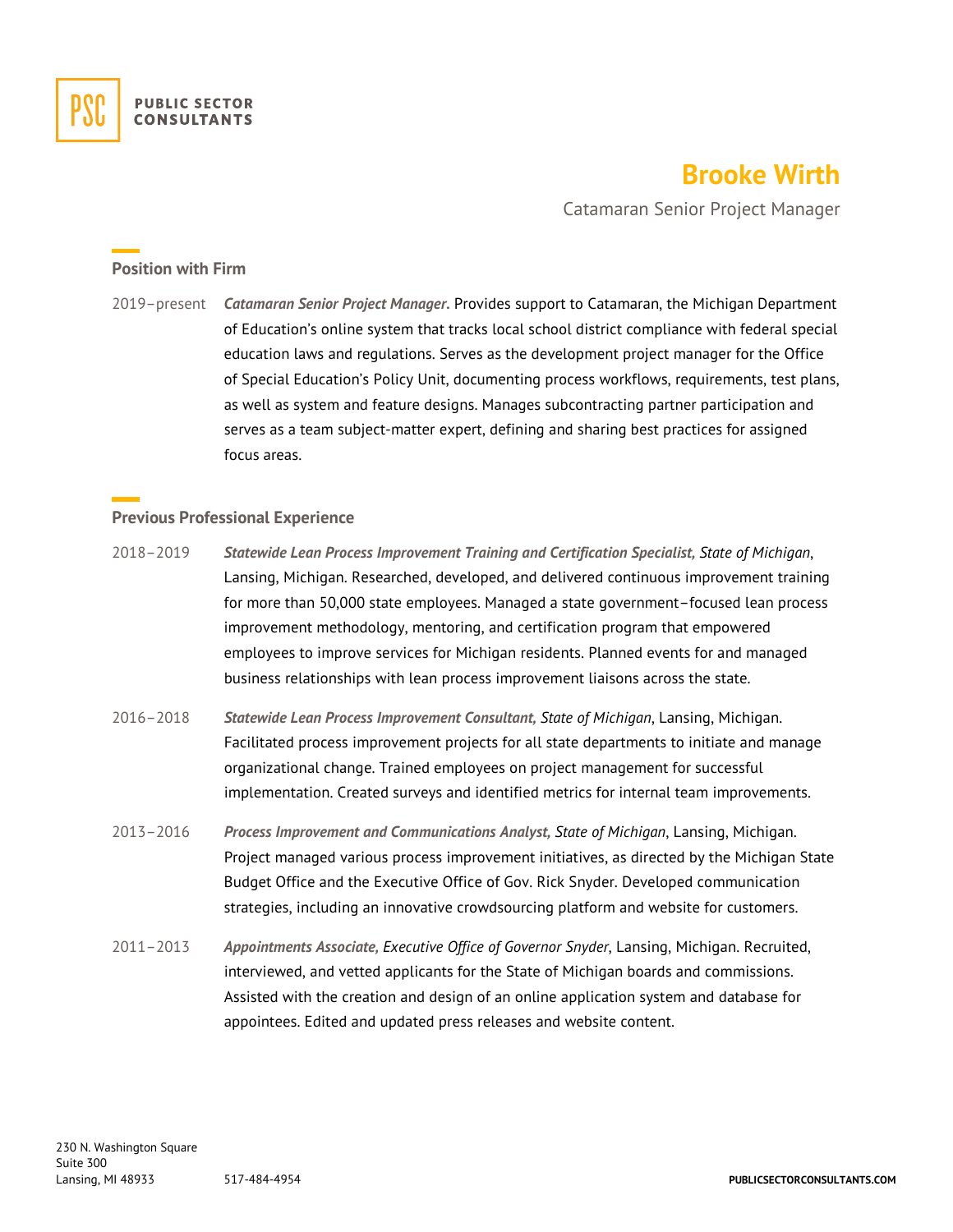

## **Brooke Wirth**

Catamaran Senior Project Manager

## **Position with Firm**

2019–present *Catamaran Senior Project Manager.* Provides support to Catamaran, the Michigan Department of Education's online system that tracks local school district compliance with federal special education laws and regulations. Serves as the development project manager for the Office of Special Education's Policy Unit, documenting process workflows, requirements, test plans, as well as system and feature designs. Manages subcontracting partner participation and serves as a team subject-matter expert, defining and sharing best practices for assigned focus areas.

## **Previous Professional Experience**

- 2018–2019 *Statewide Lean Process Improvement Training and Certification Specialist, State of Michigan*, Lansing, Michigan. Researched, developed, and delivered continuous improvement training for more than 50,000 state employees. Managed a state government–focused lean process improvement methodology, mentoring, and certification program that empowered employees to improve services for Michigan residents. Planned events for and managed business relationships with lean process improvement liaisons across the state.
- 2016–2018 *Statewide Lean Process Improvement Consultant, State of Michigan*, Lansing, Michigan. Facilitated process improvement projects for all state departments to initiate and manage organizational change. Trained employees on project management for successful implementation. Created surveys and identified metrics for internal team improvements.
- 2013–2016 *Process Improvement and Communications Analyst, State of Michigan*, Lansing, Michigan. Project managed various process improvement initiatives, as directed by the Michigan State Budget Office and the Executive Office of Gov. Rick Snyder. Developed communication strategies, including an innovative crowdsourcing platform and website for customers.
- 2011–2013 *Appointments Associate, Executive Office of Governor Snyder*, Lansing, Michigan. Recruited, interviewed, and vetted applicants for the State of Michigan boards and commissions. Assisted with the creation and design of an online application system and database for appointees. Edited and updated press releases and website content.